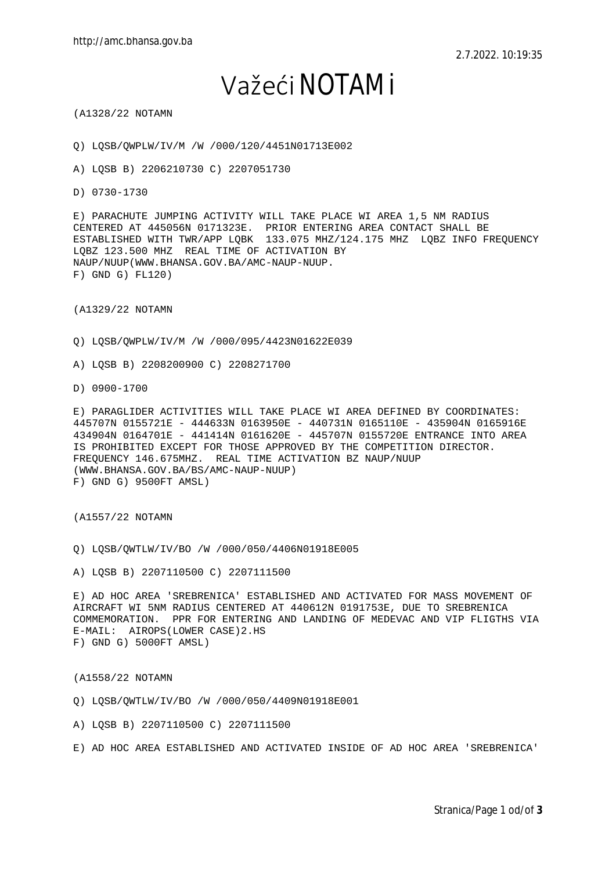## Važeći NOTAMi

(A1328/22 NOTAMN

Q) LQSB/QWPLW/IV/M /W /000/120/4451N01713E002

A) LQSB B) 2206210730 C) 2207051730

D) 0730-1730

E) PARACHUTE JUMPING ACTIVITY WILL TAKE PLACE WI AREA 1,5 NM RADIUS CENTERED AT 445056N 0171323E. PRIOR ENTERING AREA CONTACT SHALL BE ESTABLISHED WITH TWR/APP LQBK 133.075 MHZ/124.175 MHZ LQBZ INFO FREQUENCY LQBZ 123.500 MHZ REAL TIME OF ACTIVATION BY NAUP/NUUP(WWW.BHANSA.GOV.BA/AMC-NAUP-NUUP. F) GND G) FL120)

(A1329/22 NOTAMN

Q) LQSB/QWPLW/IV/M /W /000/095/4423N01622E039

A) LQSB B) 2208200900 C) 2208271700

D) 0900-1700

E) PARAGLIDER ACTIVITIES WILL TAKE PLACE WI AREA DEFINED BY COORDINATES: 445707N 0155721E - 444633N 0163950E - 440731N 0165110E - 435904N 0165916E 434904N 0164701E - 441414N 0161620E - 445707N 0155720E ENTRANCE INTO AREA IS PROHIBITED EXCEPT FOR THOSE APPROVED BY THE COMPETITION DIRECTOR. FREQUENCY 146.675MHZ. REAL TIME ACTIVATION BZ NAUP/NUUP (WWW.BHANSA.GOV.BA/BS/AMC-NAUP-NUUP) F) GND G) 9500FT AMSL)

(A1557/22 NOTAMN

Q) LQSB/QWTLW/IV/BO /W /000/050/4406N01918E005

A) LQSB B) 2207110500 C) 2207111500

E) AD HOC AREA 'SREBRENICA' ESTABLISHED AND ACTIVATED FOR MASS MOVEMENT OF AIRCRAFT WI 5NM RADIUS CENTERED AT 440612N 0191753E, DUE TO SREBRENICA COMMEMORATION. PPR FOR ENTERING AND LANDING OF MEDEVAC AND VIP FLIGTHS VIA E-MAIL: AIROPS(LOWER CASE)2.HS F) GND G) 5000FT AMSL)

(A1558/22 NOTAMN

Q) LQSB/QWTLW/IV/BO /W /000/050/4409N01918E001

A) LQSB B) 2207110500 C) 2207111500

E) AD HOC AREA ESTABLISHED AND ACTIVATED INSIDE OF AD HOC AREA 'SREBRENICA'

Stranica/Page 1 od/of **3**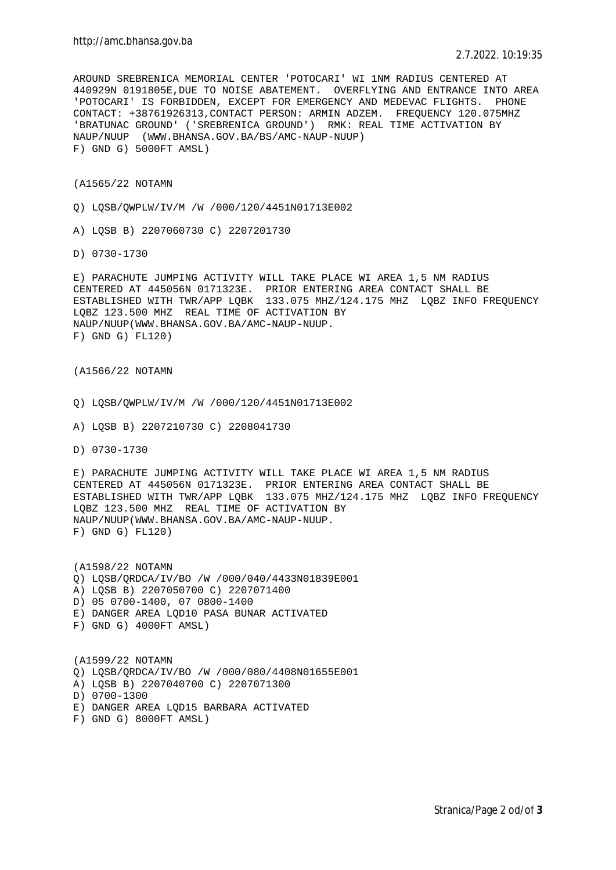AROUND SREBRENICA MEMORIAL CENTER 'POTOCARI' WI 1NM RADIUS CENTERED AT 440929N 0191805E,DUE TO NOISE ABATEMENT. OVERFLYING AND ENTRANCE INTO AREA 'POTOCARI' IS FORBIDDEN, EXCEPT FOR EMERGENCY AND MEDEVAC FLIGHTS. PHONE CONTACT: +38761926313,CONTACT PERSON: ARMIN ADZEM. FREQUENCY 120.075MHZ 'BRATUNAC GROUND' ('SREBRENICA GROUND') RMK: REAL TIME ACTIVATION BY NAUP/NUUP (WWW.BHANSA.GOV.BA/BS/AMC-NAUP-NUUP) F) GND G) 5000FT AMSL)

(A1565/22 NOTAMN

Q) LQSB/QWPLW/IV/M /W /000/120/4451N01713E002

A) LQSB B) 2207060730 C) 2207201730

D) 0730-1730

E) PARACHUTE JUMPING ACTIVITY WILL TAKE PLACE WI AREA 1,5 NM RADIUS CENTERED AT 445056N 0171323E. PRIOR ENTERING AREA CONTACT SHALL BE ESTABLISHED WITH TWR/APP LQBK 133.075 MHZ/124.175 MHZ LQBZ INFO FREQUENCY LQBZ 123.500 MHZ REAL TIME OF ACTIVATION BY NAUP/NUUP(WWW.BHANSA.GOV.BA/AMC-NAUP-NUUP. F) GND G) FL120)

(A1566/22 NOTAMN

Q) LQSB/QWPLW/IV/M /W /000/120/4451N01713E002

A) LQSB B) 2207210730 C) 2208041730

D) 0730-1730

E) PARACHUTE JUMPING ACTIVITY WILL TAKE PLACE WI AREA 1,5 NM RADIUS CENTERED AT 445056N 0171323E. PRIOR ENTERING AREA CONTACT SHALL BE ESTABLISHED WITH TWR/APP LQBK 133.075 MHZ/124.175 MHZ LQBZ INFO FREQUENCY LQBZ 123.500 MHZ REAL TIME OF ACTIVATION BY NAUP/NUUP(WWW.BHANSA.GOV.BA/AMC-NAUP-NUUP. F) GND G) FL120)

(A1598/22 NOTAMN Q) LQSB/QRDCA/IV/BO /W /000/040/4433N01839E001 A) LQSB B) 2207050700 C) 2207071400 D) 05 0700-1400, 07 0800-1400 E) DANGER AREA LQD10 PASA BUNAR ACTIVATED F) GND G) 4000FT AMSL)

(A1599/22 NOTAMN Q) LQSB/QRDCA/IV/BO /W /000/080/4408N01655E001 A) LQSB B) 2207040700 C) 2207071300 D) 0700-1300 E) DANGER AREA LQD15 BARBARA ACTIVATED F) GND G) 8000FT AMSL)